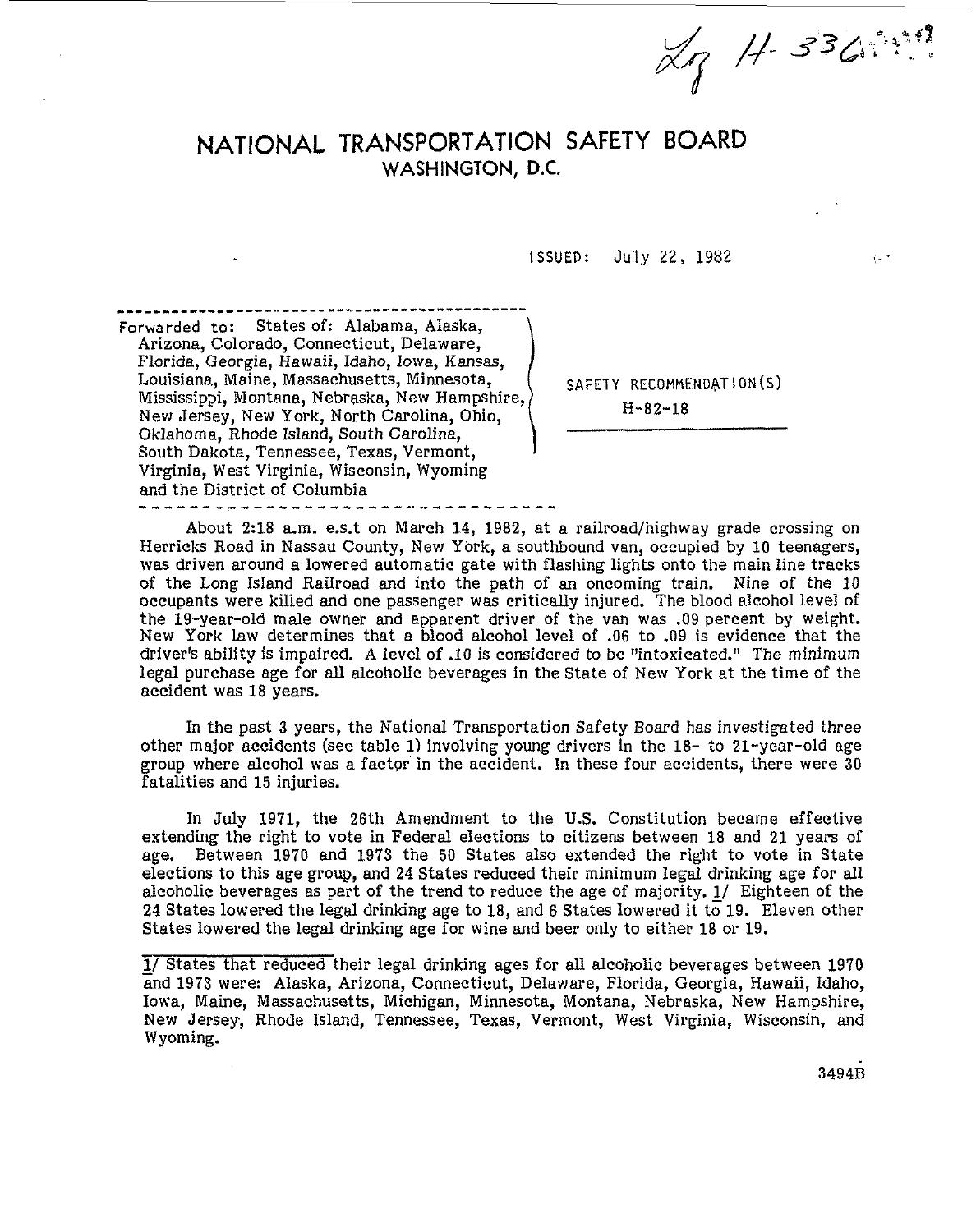Lg H-336

 $i + \tau$ 

## **NATIONAL TRANSPORTATION SAFETY BOARD**  WASHINGTON, **D.C.**

**ISSUED:** July **22, 1982** 

............................................. Forwarded to: States of: Alabama, Alaska, Arizona, Colorado, Connecticut, Delaware, Florida, Georgia, Hawaii, Idaho, Iowa, Kansas, Louisiana, Maine, Massachusetts, Minnesota, Mississippi, Montana, Nebraska, New Hampshire, New Jersey, New York, North Carolina, Ohio, Oklahoma, Rhode Island, South Carolina, South Dakota, Tennessee, Texas, Vermont, Virginia, West Virginia, Wisconsin, Wyoming and the District of Columbia

SAFETY RECOMMENDATION(S) H-82-18

About 2:18 a.m. e.s.t on March 14, 1982, at a railroad/highway grade crossing on Herricks Road in Nassau County, New York, a southbound van, occupied by 10 teenagers, was driven around a lowered automatic gate with flashing lights onto the main line tracks of the Long Island Railroad and into the path of an oncoming train. Nine of the 10 occupants were killed and one passenger was critically injured. The blood alcohol level of the 19-year-old male owner and apparent driver of the van was .09 percent by weight. New York law determines that a blood alcohol level of .06 to .09 is evidence that the driver's ability is impaired. A level of .IO is considered to be "intoxicated." The minimum legal purchase age for all alcoholic beverages in the State of New York at the time of the accident was 18 years.

In the past 3 years, the National Transportation Safety Board has investigated three other major accidents (see table 1) involving young drivers in the 18- to 21-year-old age group where alcohol was a factpr in the accident. In these four accidents, there were 30 fatalities and 15 injuries.

In **July** 1971, the 26th Amendment to the **US.** Constitution became effective extending the right to vote in Federal elections to citizens between 18 and 21 years of age. Between 1970 and 1973 the **50** States also extended the right to vote in State elections to this age group, and 24 States reduced their minimum legal drinking age for all alcoholic beverages as part of the trend to reduce the age of majority. **1/** Eighteen of the 24 States lowered the legal drinking age to 18, and *6* States lowered it to19. Eleven other States lowered the legal drinking age for wine and beer only to either 18 or 19.

<sup>-</sup> **1/** States that reduced their legal drinking ages for **all** alcoholic beverages between 1970 and 1973 were: Alaska, Arizona, Connecticut, Delaware, Florida, Georgia, Hawaii, Idaho, Iowa, Maine, Massachusetts, Michigan, Minnesota, Montana, Nebraska, New Hampshire, New Jersey, Rhode Island, Tennessee, Texas, Vermont, West Virginia, Wisconsin, and Wyoming.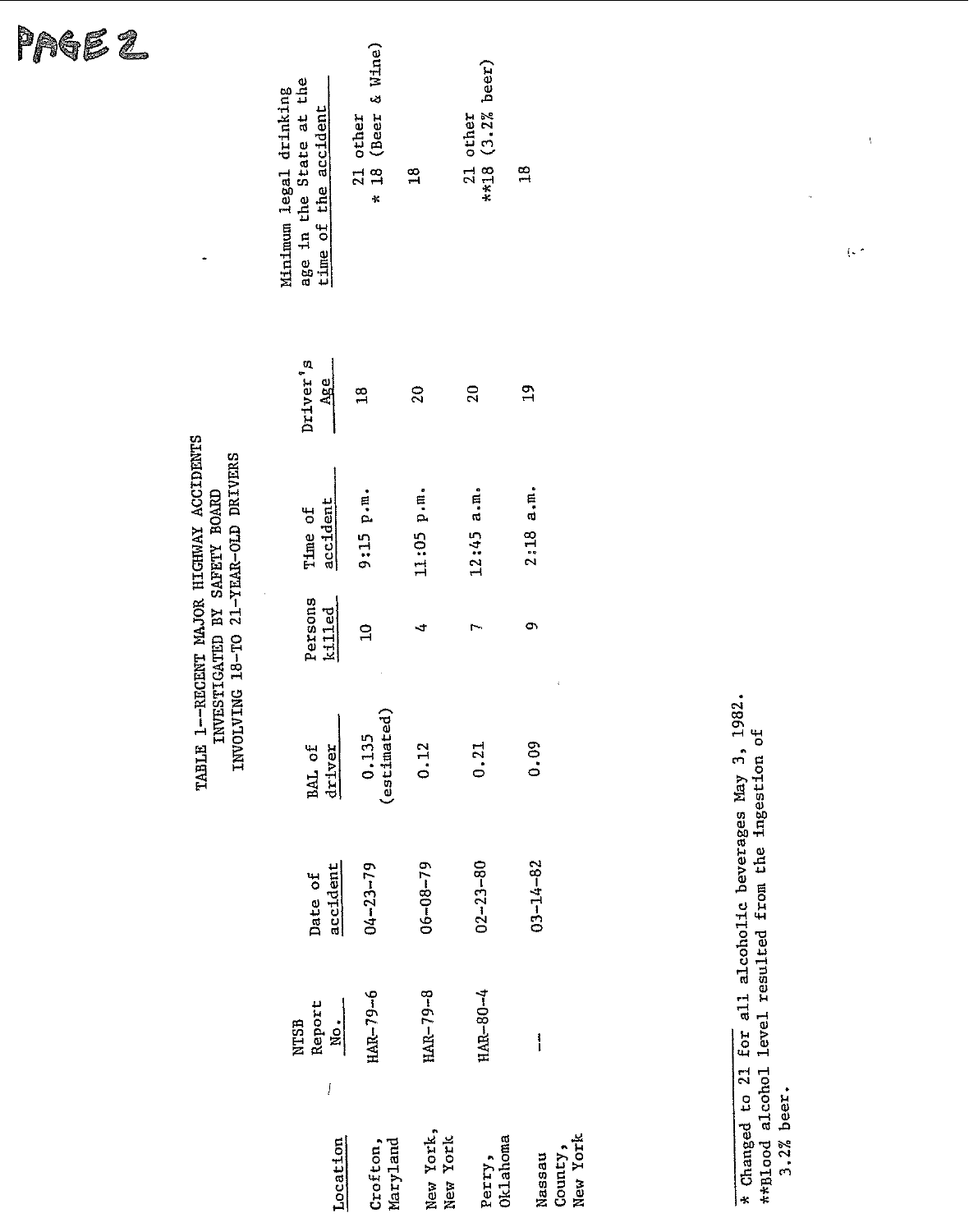| L9.<br>rge<br>I |  |  |
|-----------------|--|--|
|-----------------|--|--|

## TABLE 1--RECENT MAJOR HIGHWAY ACCIDENTS<br>INVESTIGATED BY SAFETY BOARD<br>INVOLVING 18-TO 21-YEAR-OLD DRIVERS

 $\ddot{\phantom{0}}$ 

|                                                                           | * 18 (Beer & Wine)   |                       |                                |                               |
|---------------------------------------------------------------------------|----------------------|-----------------------|--------------------------------|-------------------------------|
| age in the State at the<br>Minimum legal drinking<br>time of the accident | 21 other             | $\frac{8}{11}$        | $21$ other<br>**18 (3.2% beer) | $\frac{8}{1}$                 |
| Driver's<br>Age                                                           |                      | $\mathbb{S}$          | 20                             | $\mathbf{a}$                  |
| accident<br>Time of                                                       | 9:15 p.m.            | 11:05 p.m.            | $12:45$ a.m.                   | 2:18a.m.                      |
| Persons<br>killed                                                         | $\Xi$                | 寸                     |                                | σ١<br>ï                       |
| driver<br>BAL of                                                          | (estimated)<br>0.135 | 0.12                  | 0.21                           | 0.09                          |
| accident<br>Date of                                                       | $04 - 23 - 79$       | $06 - 08 - 79$        | $02 - 23 - 80$                 | $03 - 14 - 82$                |
| NTSB<br>Report<br><u>No.</u><br>į                                         | $HAP - 79 - 6$       | $HAR-79-8$            | HAR-80-4                       | i                             |
| Location                                                                  | Maryland<br>Crofton, | New York,<br>New York | Oklahoma<br>Perry,             | New York<br>County,<br>Nassau |

\* Changed to 21 for all alcoholic beverages May 3, 1982.<br>\*\*Blood alcohol level resulted from the ingestion of<br>3.2% beer.

 $\langle \cdot \rangle^{\star}$ 

 $\mathbf{r}$ 

 $\bar{V}$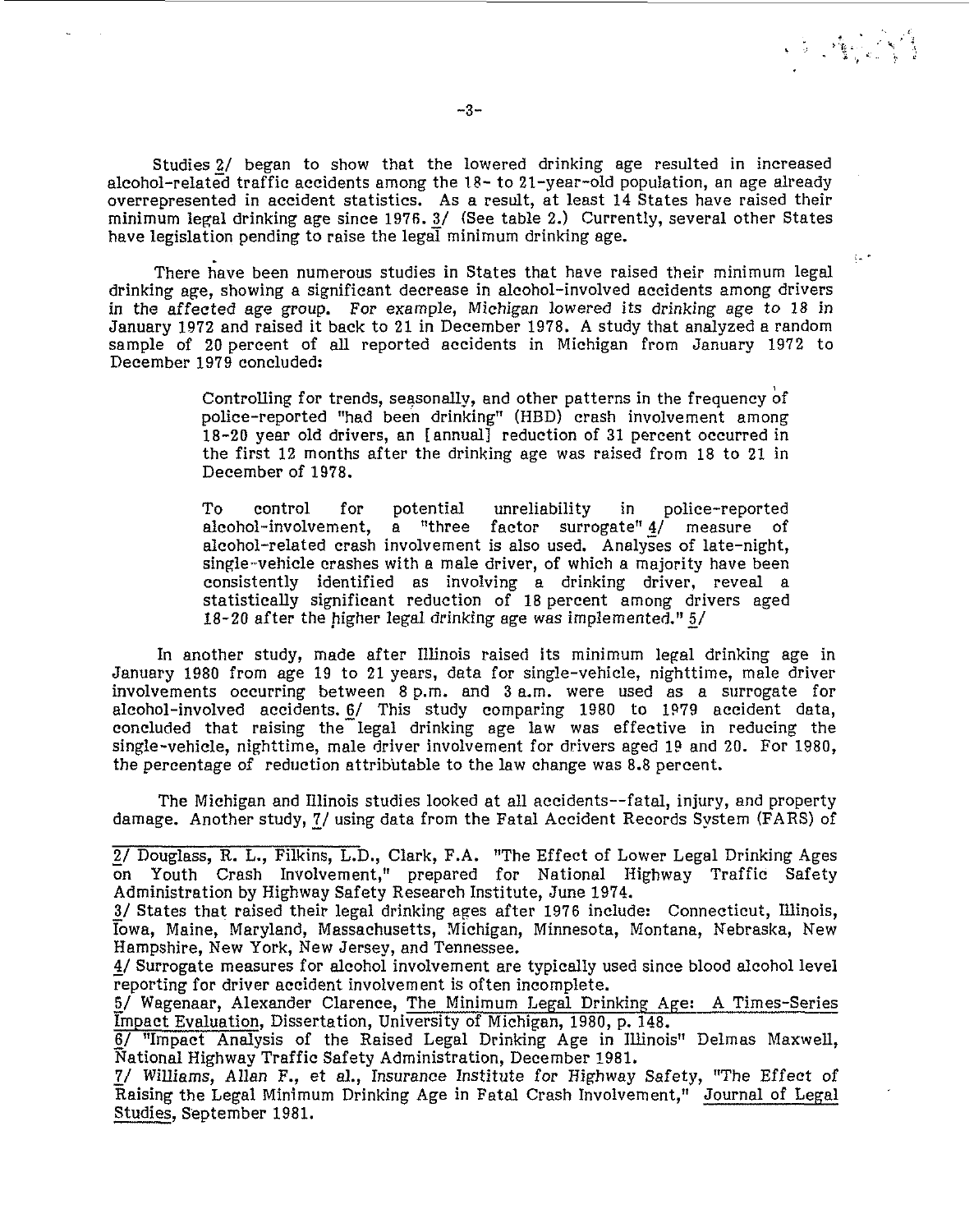Studies 2/ began to show that the lowered drinking age resulted in increased alcohol-relatgd traffic accidents among the **28-** to 21-year-old population, an age already overrepresented in accident statistics. As a result, at least 14 States have raised their minimum legal drinking age since 1976. 3/ (See table 2.) Currently, several other States have legislation pending to raise the legal minimum drinking age.

There have been numerous studies in States that have raised their minimum legal drinking age, showing a significant decrease in alcohol-involved accidents among drivers in the affected age group. For example, Michigan lowered its drinking age to 18 in January 1972 and raised it back to 21 in December 1978. A study that analyzed a random sample of 20 percent of all reported accidents in Michigan from January 1972 to December 1979 concluded:

> Controlling for trends, seasonally, and other patterns in the frequency bf police-reported "had been drinking" (HBD) crash involvement among 18-20 year old drivers, an [annual] reduction of 31 percent occurred in the first 12 months after the drinking age was raised from 18 to 21 in December of 1978.

> To control for potential unreliability in police-reported alcohol-involvement, a "three factor surrogate" 4/ measure of alcohol-related crash involvement is also used. Analyses of late-night, single-vehicle crashes with a male driver, of which a majority have been consistently identified as involving a drinking driver, reveal a statistically significant reduction of 18 percent among drivers aged 18-20 after the higher legal drinking age was implemented."  $5/$

In another study, made after Illinois raised its minimum legal drinking age in January 1980 from age 19 to 21 years, data for single-vehicle, nighttime, male driver involvements occurring between 8 p.m. and 3 a.m. were used as a surrogate for alcohol-involved accidents. *6/* This study comparing 1980 to 1979 accident data, concluded that raising the-legal drinking age law was effective in reducing the single-vehicle, nighttime, male driver involvement for drivers aged 19 and 20. For 1980, the percentage of reduction attributable to the law change was 8.8 percent.

The Michigan and Illinois studies looked at **all** accidents--fatal, injury, and property damage. Another study, ?/ using data from the Fatal Accident Records System (FARS) of

 $\sqrt{2}$  ,  $\sqrt{2}$ 

 $\hat{\xi}_{\rm in}$   $\hat{\sigma}$ 

<sup>-</sup> **2/** Douglass, R. L., Filkins, L.D., Clark, F.A. "The Effect of Lower Legal Drinking Ages on Youth Crash Involvement," prepared for National Highway Traffic Safety Administration by Highway Safety Research Institute, June 1974.

<sup>3/</sup> States that raised their legal drinking ages after 1976 include: Connecticut, Illinois, Iowa, Maine, Maryland, Massachusetts, Michigan, Minnesota, Montana, Nebraska, New Hampshire, New York, New Jersey, and Tennessee.

<sup>- 4/</sup> Surrogate measures for alcohol involvement are typically used since blood alcohol level reporting for driver accident involvement is often incomplete.

<sup>5/</sup> Wagenaar, Alexander Clarence, The Minimum Legal Drinking Age: A Times-Series Impact Evaluation, Dissertation, University of Michigan, 1980, p. 148.

<sup>-</sup> *6/* "Impact Analysis of the Raised Legal Drinking Age in Illinois" Delmas Maxwell, National Highway Traffic Safety Administration, December 1981.

<sup>7/</sup> Williams, Allan F., et al., Insurance Institute for Highway Safety, "The Effect of Raising the Legal Minimum Drinking Age in Fatal Crash Involvement," Journal of Legal Studies, September 1981.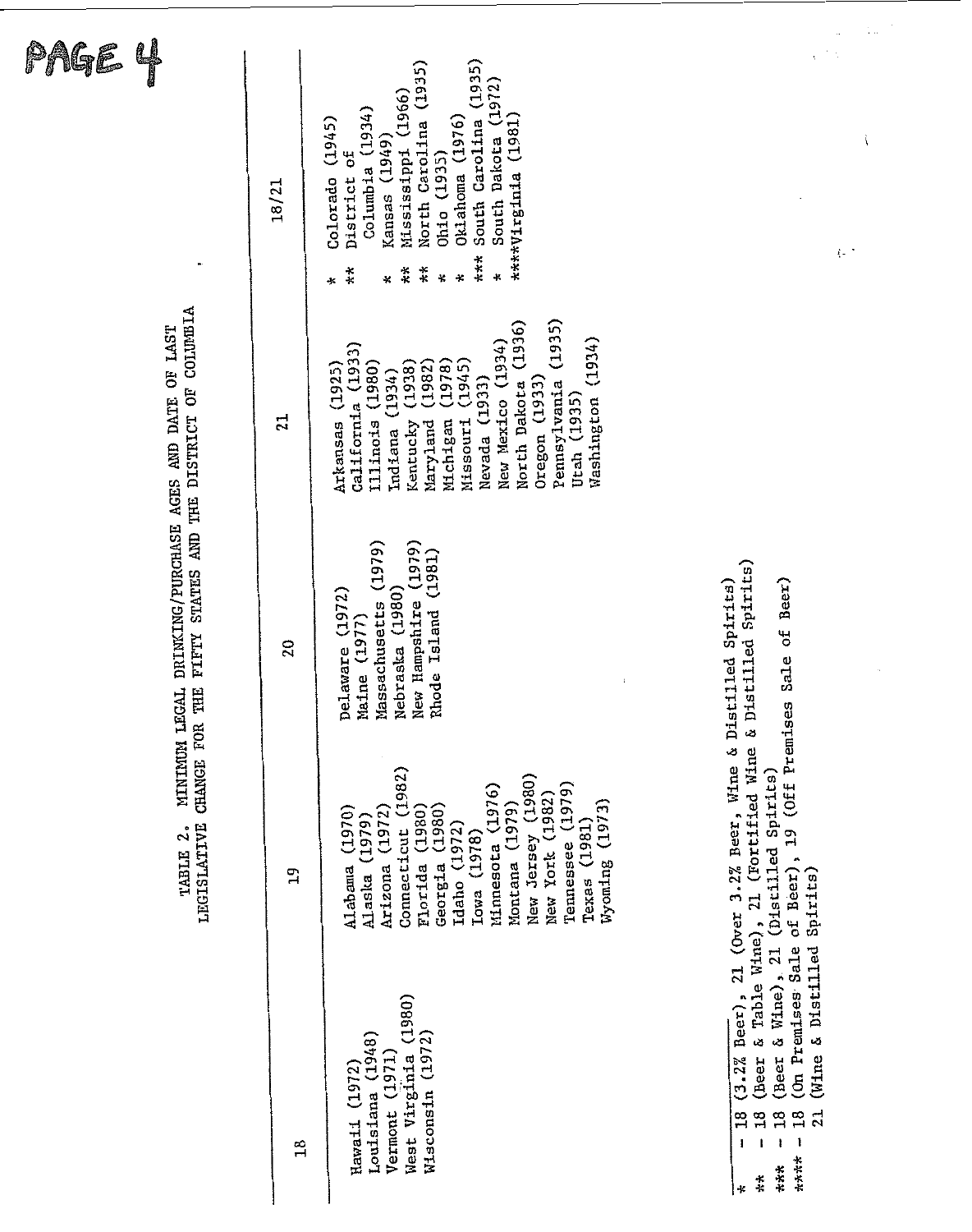| Page                                                                                 |              |                                                                                                                                                                                                                                                                                                                                   | ī.,                                                                                                                                                                                                |
|--------------------------------------------------------------------------------------|--------------|-----------------------------------------------------------------------------------------------------------------------------------------------------------------------------------------------------------------------------------------------------------------------------------------------------------------------------------|----------------------------------------------------------------------------------------------------------------------------------------------------------------------------------------------------|
| $\bullet$                                                                            | 18/21        | (1935)<br>North Carolina (1935)<br>South Dakota (1972)<br>Mississippi (1966)<br>Columbia (1934)<br>(1981)<br>Oklahoma (1976)<br>(1945)<br>South Carolina<br>Kansas (1949)<br>(1935)<br>$\sigma$ £<br>****Virginia<br>Colorado<br>District<br>Oh1o<br>***<br>$*$<br>$\ast$<br>$\ast$<br>¥<br>¥<br>$\ast$<br>x<br>፠                 | {− *                                                                                                                                                                                               |
| FIFTY STATES AND THE DISTRICT OF COLUMBIA<br>DRINKING/PURCHASE AGES AND DATE OF LAST | 21           | (1935)<br>(1936)<br>(1934)<br>(1934)<br>California (1933)<br>(1945)<br>(1938)<br>(1925)<br>(1978)<br>(1980)<br>(1982)<br>(1934)<br>Pennsylvania<br>Nevada (1933)<br>North Dakota<br>Oregon $(1933)$<br>Utah (1935)<br>Washington<br>New Mexico<br>Illinois<br>Michigan<br>Arkansas<br>Missouri<br>Kentucky<br>Maryland<br>Indiana |                                                                                                                                                                                                    |
|                                                                                      | 20           | (1979)<br>ssachusetts (1979)<br>(1981)<br>Nebraska (1980)<br>Delaware (1972)<br>New Hampshire<br>Rhode Island<br>Maine (1977)<br>$\mathbf{t}$<br>£                                                                                                                                                                                | stilled Spirits)<br>Sale of Beer)<br>$\&$ D <sub>1</sub> :                                                                                                                                         |
| MINIMUM LEGAL<br>CHANGE FOR THE<br>LEGISLATIVE<br>TABLE 2.                           | $\mathbf{a}$ | Connecticut (1982)<br>(1980)<br>Tennessee (1979)<br>Minnesota (1976)<br>New York (1982)<br>Wyoming (1973)<br>Montana (1979)<br>(1972)<br>(1980)<br>(1980)<br>(1970)<br>(1979)<br>Texas (1981)<br>Idaho (1972)<br>Lowa (1978)<br>New Jersey<br>Georgia<br>Florida<br>Arizona<br>Alabama<br>Alaska                                  | 21 (Over 3.2% Beer, Wine & Distilled Spirits)<br>of Beer), 19 (Off Premises<br>& Table Wine), 21 (Fortified Wine<br>(Beer & Wine), 21 (Distilled Spirits)<br>(On Premises Sale of Beer), 19 (Off P |
|                                                                                      | 18           | West Virginia (1980)<br>(1972)<br>Louisiana (1948)<br>Vermont (1971)<br>Hawaii (1972)<br>Wisconsin                                                                                                                                                                                                                                | (Wine & Distilled Spirits)<br>$(3.2%$ Beer),<br>(Beer<br>$18\,$<br>18<br>21<br>18<br>18<br>п.<br>****<br>***<br>$\ddot{\ast}$<br>*                                                                 |